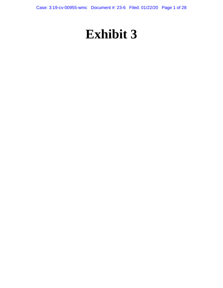Case: 3:19-cv-00955-wmc Document #: 23-6 Filed: 01/22/20 Page 1 of 28

# **Exhibit 3**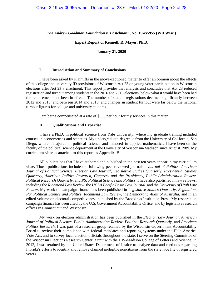# *The Andrew Goodman Foundation v. Bostelmann***, No. 19-cv-955 (WD Wisc.)**

# **Expert Report of Kenneth R. Mayer, Ph.D.**

# **January 21, 2020**

# **I. Introduction and Summary of Conclusions**

I have been asked by Plaintiffs in the above-captioned matter to offer an opinion about the effects of the college and university ID provisions of Wisconsin Act 23 on young voter participation in Wisconsin elections after Act 23's enactment. This report provides that analysis and concludes that Act 23 reduced registration and turnout among students in the 2016 and 2018 elections, below what it would have been had the requirements not been in effect. The number of student registrations declined significantly between 2012 and 2016, and between 2014 and 2018, and changes in student turnout were far below the national turnout figures for college and university students.

I am being compensated at a rate of \$350 per hour for my services in this matter.

# **II. Qualifications and Expertise**

I have a Ph.D. in political science from Yale University, where my graduate training included courses in econometrics and statistics. My undergraduate degree is from the University of California, San Diego, where I majored in political science and minored in applied mathematics. I have been on the faculty of the political science department at the University of Wisconsin-Madison since August 1989. My curriculum vitae is attached to this report as Appendix B.

All publications that I have authored and published in the past ten years appear in my curriculum vitae. Those publications include the following peer-reviewed journals: *Journal of Politics*, *American Journal of Political Science*, *Election Law Journal*, *Legislative Studies Quarterly*, *Presidential Studies Quarterly*, *American Politics Research*, *Congress and the Presidency*, *Public Administration Review*, *Political Research Quarterly*, and *PS: Political Science and Politics*. I have also published in law reviews, including the *Richmond Law Review*, the *UCLA Pacific Basin Law Journal*, and the *University of Utah Law Review*. My work on campaign finance has been published in *Legislative Studies Quarterly*, *Regulation*, *PS: Political Science and Politics*, *Richmond Law Review*, the *Democratic Audit of Australia*, and in an edited volume on electoral competitiveness published by the Brookings Institution Press. My research on campaign finance has been cited by the U.S. Government Accountability Office, and by legislative research offices in Connecticut and Wisconsin.

My work on election administration has been published in the *Election Law Journal*, *American Journal of Political Science*, *Public Administration Review*, *Political Research Quarterly*, and *American Politics Research*. I was part of a research group retained by the Wisconsin Government Accountability Board to review their compliance with federal mandates and reporting systems under the Help America Vote Act, and to survey local election officials throughout the state. I serve on the Steering Committee of the Wisconsin Elections Research Center, a unit with the UW-Madison College of Letters and Science. In 2012, I was retained by the United States Department of Justice to analyze data and methods regarding Florida's efforts to identify and remove claimed ineligible noncitizens from the statewide file of registered voters.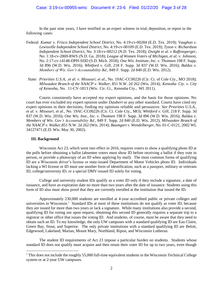In the past nine years, I have testified as an expert witness in trial, deposition, or report in the following cases:

- Federal: *Kumar v. Frisco Independent School District*, No. 4:19-cv-00284 (E.D. Tex. 2019); *Vaughan v. Lewisville Independent School District*, No. 4:19-cv-00109 (E.D. Tex. 2019); *Tyson v. Richardson Independent School District*, No. 3:18-cv-00212 (N.D. Tex. 2018); *Dwight et al. v Raffensperger*, No: 1:18-cv-2869-RWS (N.D. Ga. 2018); *League of Women Voters of Michigan, et al. v. Johnson*, No. 2:17-cv-14148-DPH-SDD (S.D. Mich. 2018); *One Wis*. *Institute*, *Inc. v. Thomsen* 198 F. Supp. 3d 896 (W.D. Wis. 2016); *Whitford v. Gill*, 218 F. Supp. 3d 837 (W.D. Wis. 2016); *Baldus v. Members of Wis. Gov't Accountability Bd.*, 849 F. Supp. 2d 840 (E.D. Wis. 2012).
- State: *Priorities U.S.A, .et al. v. Missouri, et al.,* No. 19AC-CC00226 (Cir. Ct. of Cole Cty., MO 2018); *Milwaukee Branch of the NAACP v. Walker*, 851 N.W. 2d 262 (Wis. 2014); *Kenosha Cty*. *v. City of Kenosha*, No. 11-CV-1813 (Wis. Cir. Ct., Kenosha Cty., WI 2011).

Courts consistently have accepted my expert opinions, and the basis for those opinions. No court has ever excluded my expert opinion under *Daubert* or any other standard. Courts have cited my expert opinions in their decisions, finding my opinions reliable and persuasive. *See Priorities U.S.A., et al. v. Missouri, et al.,* No. 19AC-CC00226 (Cir. Ct. Cole Cty., MO); *Whitford v. Gill*, 218 F. Supp. 3d 837 (W.D. Wis. 2016); *One Wis*. *Inst.*, *Inc. v. Thomsen* 198 F. Supp. 3d 896 (W.D. Wis. 2016); *Baldus v. Members of Wis. Gov't Accountability Bd.*, 849 F. Supp. 2d 840 (E.D. Wis. 2012); *Milwaukee Branch of the NAACP v. Walker*,851 N.W. 2d 262 (Wis. 2014); *Baumgart v. Wendelberger*, No. 01-C-0121, 2002 WL 34127471 (E.D. Wis. May 30, 2002).

## **III. Background**

 $\overline{a}$ 

Wisconsin Act 23, which went into effect in 2016, requires voters to show a qualifying photo ID at the polls before obtaining a ballot (absentee voters must show ID before receiving a ballot if they vote in person, or provide a photocopy of an ID when applying by mail). The most common forms of qualifying ID are a Wisconsin driver's license or state-issued Department of Motor Vehicles photo ID. Individuals lacking a WI license or ID must use another form of identification, such as a passport, military or veterans ID, college/university ID, or a special DMV-issued ID solely for voting.

College and university student IDs qualify as a voter ID only if they include a signature, a date of issuance, and have an expiration date no more than two years after the date of issuance. Students using this form of ID also must show proof that they are currently enrolled at the institution that issued the ID.

Approximately 230,000 students are enrolled at 4-year accredited public or private colleges and universities in Wisconsin.<sup>1</sup> Standard IDs at most of these institutions do not qualify as voter ID, because they are issued for more than two years or lack a signature. While many institutions also provide a second, qualifying ID for voting use upon request, obtaining this second ID generally requires a separate trip to a registrar or other office that issues the voting ID. And students, of course, must be aware that they need to obtain such an ID. To my knowledge, the only UW campuses with a standard qualifying ID are Eau Claire, Green Bay, Stout, and Superior. The only private institutions with a standard qualifying ID are Beloit, Edgewood, Lakeland, Marian, Mount Mary, Northland, Ripon, and Wisconsin Lutheran.

The student ID requirements of Act 23 impose a particular burden on students. Students whose standard ID does not qualify must acquire and then retain their voter ID for up to two years, even though

<sup>&</sup>lt;sup>1</sup> This does not include the roughly 55,000 full-time equivalent students in the Wisconsin Technical College system or at 2-year UW campuses.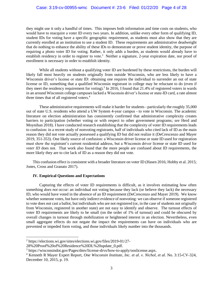they might use it only a handful of times. This imposes both information and time costs on students, who would have to reacquire a voter ID every two years. In addition, unlike every other form of qualifying ID, student IDs for voting have a specific geographic requirement, as students must also show that they are currently enrolled at an institution to use a student ID. These requirements are administrative deadweight that do nothing to enhance the ability of these IDs to demonstrate or prove student identity, the purpose of requiring a photo voter ID for voting. Rather, it only adds a burden, as students would already have to establish residency in order to register to vote.<sup>2</sup> Neither a signature, 2-year expiration date, nor proof of enrollment is necessary in order to establish identity.

While all students without a qualifying voter ID are burdened by these restrictions, the burden will likely fall most heavily on students originally from outside Wisconsin, who are less likely to have a Wisconsin driver's license or state ID: obtaining one requires the individual to surrender an out of state license or ID, something that a qualified Wisconsin registrant in college may be reluctant to do (even if they meet the residency requirement for voting).<sup>3</sup> In 2016, I found that 21.4% of registered voters in wards in an around Wisconsin college campuses lacked a Wisconsin driver's license or state-ID card, a rate almost three times that of all registered voters.<sup>4</sup>

These administrative requirements will make it harder for students - particularly the roughly 35,000 out of state U.S. residents who attend a UW System 4-year campus - to vote in Wisconsin. The academic literature on election administration has consistently confirmed that administrative complexity creates barriers to participation (whether voting or with respect to other government programs; *see* Herd and Moynihan 2018). I have conducted research establishing that the complexity of voter ID requirements leads to confusion: in a recent study of nonvoting registrants, half of individuals who cited lack of ID as the main reason they did not vote actually possessed a qualifying ID but did not realize it (DeCrescenzo and Mayer 2019, 351-353). One likely source of confusion: a Wisconsin driver license or state ID used for registration must show the registrant's current residential address, but a Wisconsin driver license or state ID used for *voter ID* does not. That work also found that the more people are confused about ID requirements, the more likely they are to cite lack of ID as a reason they did not vote.

This confusion effect is consistent with a broader literature on voter ID (Hasen 2016; Hobby et al. 2015; Jones, Cross and Granato 2017).

#### **IV. Empirical Questions and Expectations**

Capturing the effects of voter ID requirements is difficult, as it involves estimating how often something *does not* occur: an individual not voting because they lack (or believe they lack) the necessary ID, who would have voted in the absence of an ID requirement (DeCrescenzo and Mayer 2019). We know whether someone votes, but have only indirect evidence of nonvoting: we can observe if someone registered to vote does not cast a ballot, but individuals who are not registered (or, in the case of students not originally from Wisconsin, registered in another state) are not easy to identify and observe. The turnout effects of voter ID requirements are likely to be small (on the order of 1% of turnout) and could be obscured by overall changes in turnout through mobilization or heightened interest in an election. Nevertheless, even small aggregate effects do not negate the impact the requirements can have on individuals who are prevented or impeded form voting, and those individuals likely number into the thousands.

l

<sup>2</sup> https://elections.wi.gov/sites/elections.wi.gov/files/2019-01/27-

<sup>28%20</sup>Proof%20of%20Residence%20DL%20update\_0.pdf.

<sup>3</sup> https://wisconsindot.gov/Pages/dmv/license-drvs/how-to-apply/ooslicense.aspx.

<sup>4</sup> Kenneth R Mayer Expert Report, *One Wisconsin Institute, Inc. et al. v. Nichol, et al.* No. 3:15-CV-324, December 10, 2015, p. 19.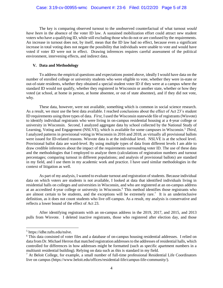The key is comparing observed turnout to the unobserved counterfactual of what turnout *would have been* in the absence of the voter ID law. A sustained mobilization effort could attract new student voters who have a qualifying ID, while still excluding those who do not or are confused by the requirements. An increase in turnout does not, by itself, mean that the ID law had no effect, because even a significant increase in total voting does not negate the possibility that individuals were unable to vote and would have voted if voter ID were not in effect. Drawing inferences requires careful assessment of the political environment, intervening effects, and indirect data.

# **V. Data and Methodology**

To address the empirical questions and expectations posted above, ideally I would have data on the number of enrolled college or university students who were eligible to vote, whether they were in-state or out-of-state residents, whether they obtained a special student voter ID if they were at a campus where the standard ID would not qualify, whether they registered in Wisconsin or another state, whether or how they voted (at school, at home in person, at home absentee, or out of state absentee), and if they did not vote, why.

These data, however, were not available, something which is common in social science research. As a result, we must use the best data available. I reached conclusions about the effect of Act 23's student ID requirements using three types of data. *First*, I used the Wisconsin statewide file of registrants (Wisvote) to identify individual registrants who were living in on-campus residential housing at a 4-year college or university in Wisconsin. *Second*, I analyzed aggregate data by school collected by the National Study of Learning, Voting and Engagement (NSLVE), which is available for some campuses in Wisconsin.<sup>5</sup> *Third*, I analyzed patterns in provisional voting in Wisconsin in 2016 and 2018, as virtually all provisional ballots were issued for ID-related reasons. Wisvote data is at the individual level. NSLVE is at the school level. Provisional ballot data are ward-level. By using multiple types of data from different levels I am able to draw credible inferences about the impact of the requirements surrounding voter ID. The use of these data and the methodologies that I employed to analyze them (calculations of registration numbers and turnout percentages; comparing turnout in different populations; and analysis of provisional ballots) are standard in my field, and I use them in my academic work and practice. I have used similar methodologies in the context of litigation as well.

As part of my analysis, I wanted to evaluate turnout and registration of students. Because individual data on which voters are students is not available, I looked at data that identified individuals living in residential halls on colleges and universities in Wisconsin, and who are registered at an on-campus address at an accredited 4-year college or university in Wisconsin.<sup>6</sup> This method identifies those registrants who are almost certain to be students, and the exceptions will be extremely rare.<sup>7</sup> It is an underinclusive definition, as it does not count students who live off-campus. As a result, my analysis is conservative and reflects a lower bound of the effect of Act 23.

After identifying registrants with an on-campus address in the 2019, 2017, and 2015, and 2013 pulls from Wisvote. I deleted inactive registrants, those who registered after election day, and those

l

<sup>5</sup> https://idhe.tufts.edu/nslve.

<sup>6</sup> This data consisted of voter files and a database of on-campus housing residential addresses. I relied on data from Dr. Michael Herron that matched registration addresses to the addresses of residential halls, which controlled for differences in how addresses might be formatted (such as specific apartment numbers in a multiunit residential building). Relying on data such as this is standard in my field.

 $<sup>7</sup>$  At Beloit College, for example, a small number of full-time professional Residential Life Coordinators</sup> live on campus (https://www.beloit.edu/offices/residential-life/campus-life-community/).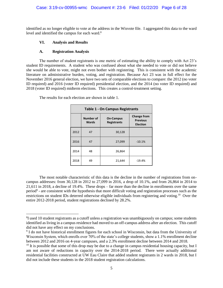identified as no longer eligible to vote at the address in the Wisvote file. I aggregated this data to the ward level and identified the campus for each ward.<sup>8</sup>

# **VI. Analysis and Results**

# **A. Registration Analysis**

l

The number of student registrants is one metric of estimating the ability to comply with Act 23's student ID requirements. A student who was confused about what she needed to vote or did not believe she would be able to vote, might not even bother with registering. This is consistent with the academic literature on administrative burden, voting, and registration. Because Act 23 was in full effect for the November 2016 general election, we have two sets of comparable elections to compare: the 2012 (no voter ID required) and 2016 (voter ID required) presidential election, and the 2014 (no voter ID required) and 2018 (voter ID required) midterm elections. This creates a control-treatment setting.

| <b>Table 1 - On Campus Registrants</b> |                    |                                        |                                                          |  |
|----------------------------------------|--------------------|----------------------------------------|----------------------------------------------------------|--|
|                                        | Number of<br>Wards | <b>On-Campus</b><br><b>Registrants</b> | <b>Change from</b><br><b>Previous</b><br><b>Election</b> |  |
| 2012                                   | 47                 | 30,128                                 |                                                          |  |
| 2016                                   | 47                 | 27,099                                 | $-10.1%$                                                 |  |
| 2014                                   | 48                 | 26,864                                 |                                                          |  |
| 2018                                   | 49                 | 21,644                                 | $-19.4%$                                                 |  |

The results for each election are shown in table 1.

The most notable characteristic of this data is the decline in the number of registrations from oncampus addresses: from 30,128 in 2012 to 27,099 in 2016, a drop of 10.1%, and from 26,864 in 2014 to 21,611 in 2018, a decline of 19.4%. These drops – far more than the decline in enrollments over the same period<sup>9</sup> - are consistent with the hypothesis that more difficult voting and registration processes such as the restrictions on student IDs deterred otherwise eligible individuals from registering and voting.<sup>10</sup> Over the entire 2012-2018 period, student registrations declined by 28.2%.

<sup>&</sup>lt;sup>8</sup>I used 10 student registrants as a cutoff unless a registration was unambiguously on campus; some students identified as living in a campus residence had moved to an off-campus address after an election. This cutoff did not have any effect on my conclusions.

<sup>&</sup>lt;sup>9</sup> I do not have historical enrollment figures for each school in Wisconsin, but data from the University of Wisconsin System, which enrolls over 70% of the state's college students, show a 1.1% enrollment decline between 2012 and 2016 on 4-year campuses, and a 2.3% enrollment decline between 2014 and 2018.

<sup>&</sup>lt;sup>10</sup> It is possible that some of this drop may be due to a change in campus residential housing capacity, but I am not aware of reductions in capacity over the 2014-2018 period. There were actually additional residential facilities constructed at UW Eau Claire that added student registrants in 2 wards in 2018, but I did not include these students in the 2018 student registration calculations.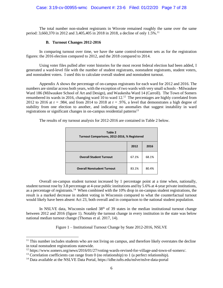The total number non-student registrants in Wisvote remained roughly the same over the same period: 3,660,370 in 2012 and 3,405,405 in 2018 in 2018, a decline of only 1.5%.<sup>11</sup>

## **B. Turnout Changes 2012-2016**

In comparing turnout over time, we have the same control-treatment sets as for the registration figures: the 2016 election compared to 2012, and the 2018 compared to 2014.

Using voter files pulled after voter histories for the most recent federal election had been added, I generated a ward-level file with the number of student registrants, nonstudent registrants, student voters, and nonstudent voters. I used this to calculate overall student and nonstudent turnout.

Appendix A shows the percentage of on-campus registrants for each ward for 2012 and 2016. The numbers are similar across both years, with the exception of two wards with very small schools - Milwaukee Ward 186 (Milwaukee School of Art and Design), and Waukesha Ward 14 (Carroll). The Town of Somers renumbered its wards in 2016, changing ward 10 to ward  $12<sup>12</sup>$ . The percentages are highly correlated from 2012 to 2016 at  $r = .984$ , and from 2014 to 2018 at  $r = .976$ , a level that demonstrates a high degree of stability from one election to another, and indicating no anomalies that suggest instability in ward registrations or significant changes in on-campus residential patterns<sup>13</sup>

| Table 2<br>Turnout Comparisons, 2012-2016, % Registered |       |       |  |  |
|---------------------------------------------------------|-------|-------|--|--|
|                                                         | 2012  | 2016  |  |  |
| <b>Overall Student Turnout</b>                          | 67.1% | 68.1% |  |  |
| <b>Overall Nonstudent Turnout</b>                       | 83.1% | 80.4% |  |  |

The results of my turnout analysis for 2012-2016 are contained in Table 2 below.

Overall on-campus student turnout increased by 1 percentage point at a time when, nationally, student turnout rose by 3.8 percentage at 4-year public institutions and by 5.6% at 4-year private institutions, as a percentage of registrants.<sup>14</sup> When combined with the 10% drop in on-campus student registrations, the result is a marked decrease in student voting in Wisconsin compared to what the counterfactual turnout would likely have been absent Act 23, both overall and in comparison to the national student population.

In NSLVE data, Wisconsin ranked  $38<sup>th</sup>$  of 39 states in the median institutional turnout change between 2012 and 2016 (figure 1). Notably the turnout change in every institution in the state was below national median turnout change (Thomas et al. 2017, 14).

Figure 1 – Institutional Turnout Change by State 2012-2016, NSLVE

l

 $11$  This number includes students who are not living on campus, and therefore likely overstates the decline in total nonstudent registrations statewide.

<sup>12</sup> https://www.somers.org/news/2016/01/27/voting-wards-revised-for-village-and-town-of-somers/.

 $13$  Correlation coefficients can range from 0 (no relationship) to 1 (a perfect relationship).

<sup>14</sup> Data available at the NSLVE Data Portal, https://idhe.tufts.edu/nslve/nslve-data-portal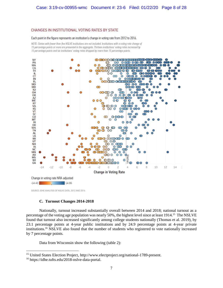## CHANGES IN INSTITUTIONAL VOTING RATES BY STATE

#### Each point in the figure represents an institution's change in voting rate from 2012 to 2016.

NOTE: States with fewer than five NSLVE institutions are not included. Institutions with a voting rate change of 15 percentage points or more are presented in the aggregate. Thirteen institutions' voting rates increased by 15 percentage points and six institutions' voting rates dropped by more than 15 percentage points.



SOURCE: IDHE ANALYSIS OF NSLVE DATA, 2012 AND 2016

# **C. Turnout Changes 2014-2018**

Nationally, turnout increased substantially overall between 2014 and 2018; national turnout as a percentage of the voting age population was nearly 50%, the highest level since at least 1914.<sup>15</sup> The NSLVE found that turnout also increased significantly among college students nationally (Thomas et al. 2019), by 23.1 percentage points at 4-year public institutions and by 24.9 percentage points at 4-year private institutions.<sup>16</sup> NSLVE also found that the number of students who registered to vote nationally increased by 7 percentage points.

Data from Wisconsin show the following (table 2):

 $\overline{a}$ 

<sup>15</sup> United States Election Project, http://www.electproject.org/national-1789-present.

<sup>16</sup> https://idhe.tufts.edu/2018-nslve-data-portal.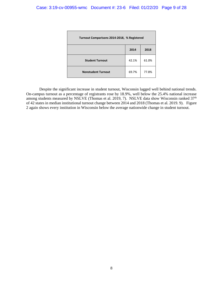| Turnout Comparisons 2014-2018, % Registered |       |       |  |
|---------------------------------------------|-------|-------|--|
|                                             | 2014  | 2018  |  |
| <b>Student Turnout</b>                      | 42.1% | 61.0% |  |
| <b>Nonstudent Turnout</b>                   | 69.7% | 77.8% |  |

Despite the significant increase in student turnout, Wisconsin lagged well behind national trends. On-campus turnout as a percentage of registrants rose by 18.9%, well below the 25.4% national increase among students measured by NSLVE (Thomas et al. 2019, 7). NSLVE data show Wisconsin ranked  $37<sup>th</sup>$ of 42 states in median institutional turnout change between 2014 and 2018 (Thomas et al. 2019. 9). Figure 2 again shows every institution in Wisconsin below the average nationwide change in student turnout.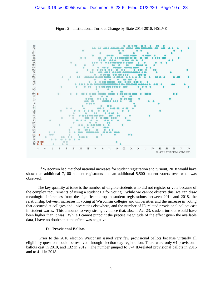

Figure 2 – Institutional Turnout Change by State 2014-2018, NSLVE

If Wisconsin had matched national increases for student registration and turnout, 2018 would have shown an additional 7,100 student registrants and an additional 5,500 student voters over what was observed.

The key quantity at issue is the number of eligible students who did not register or vote because of the complex requirements of using a student ID for voting. While we cannot observe this, we can draw meaningful inferences from the significant drop in student registrations between 2014 and 2018, the relationship between increases in voting at Wisconsin colleges and universities and the increase in voting that occurred at colleges and universities elsewhere, and the number of ID related provisional ballots cast in student wards. This amounts to very strong evidence that, absent Act 23, student turnout would have been higher than it was. While I cannot pinpoint the precise magnitude of the effect given the available data, I have no doubts that the effect was negative.

## **D. Provisional Ballots**

Prior to the 2016 election Wisconsin issued very few provisional ballots because virtually all eligibility questions could be resolved through election day registration. There were only 64 provisional ballots cast in 2010, and 132 in 2012. The number jumped to 674 ID-related provisional ballots in 2016 and to 411 in 2018.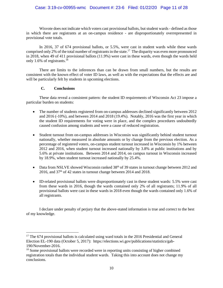# Case: 3:19-cv-00955-wmc Document #: 23-6 Filed: 01/22/20 Page 11 of 28

Wisvote does not indicate which voters cast provisional ballots, but student wards - defined as those in which there are registrants at an on-campus residence - are disproportionately overrepresented in provisional vote totals.

In 2016, 37 of 674 provisional ballots, or 5.5%, were cast in student wards while these wards comprised only 2% of the total number of registrants in the state.<sup>17</sup> The disparity was even more pronounced in 2018, when 49 of 411 provisional ballots (11.9%) were cast in these wards, even though the wards held only 1.6% of registrants.<sup>18</sup>

There are limits to the inferences than can be drawn from small numbers, but the results are consistent with the known effect of voter ID laws, as well as with the expectations that the effects are and will be particularly felt by students in upcoming elections.

# **C. Conclusions**

 $\overline{a}$ 

These data reveal a consistent pattern: the student ID requirements of Wisconsin Act 23 impose a particular burden on students:

- The number of students registered from on-campus addresses declined significantly between 2012 and 2016 (-10%), and between 2014 and 2018 (19.4%). Notably, 2016 was the first year in which the student ID requirements for voting were in place, and the complex procedures undoubtedly caused confusion among students and were a cause of reduced registration.
- Student turnout from on-campus addresses in Wisconsin was significantly behind student turnout nationally, whether measured in absolute amounts or by change from the previous election. As a percentage of registered voters, on-campus student turnout increased in Wisconsin by 1% between 2012 and 2016, when student turnout increased nationally by 3.8% at public institutions and by 5.6% at private institutions. Between 2014 and 2014, on campus turnout in Wisconsin increased by 18.9%, when student turnout increased nationally by 25.4%.
- Data from NSLVE showed Wisconsin ranked  $38<sup>th</sup>$  of 39 states in turnout change between 2012 and 2016, and 37th of 42 states in turnout change between 2014 and 2018.
- ID-related provisional ballots were disproportionately cast in these student wards: 5.5% were cast from these wards in 2016, though the wards contained only 2% of all registrants; 11.9% of all provisional ballots were cast in these wards in 2018 even though the wards contained only 1.6% of all registrants.

I declare under penalty of perjury that the above-stated information is true and correct to the best of my knowledge.

<sup>&</sup>lt;sup>17</sup> The 674 provisional ballots is calculated using ward totals in the 2016 Presidential and General Election EL-190 data (October 5, 2017): https://elections.wi.gov/publications/statistics/gab-190/November-2016.

<sup>&</sup>lt;sup>18</sup> Some provisional ballots were recorded were in reporting units consisting of higher combined registration totals than the individual student wards. Taking this into account does not change my conclusions.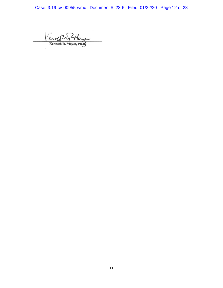Case: 3:19-cv-00955-wmc Document #: 23-6 Filed: 01/22/20 Page 12 of 28

Kenoth PHam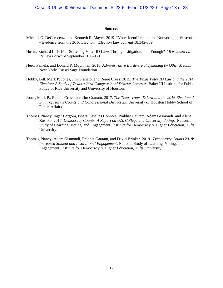#### **Sources**

- Michael G. DeCrescenzo and Kenneth R. Mayer. 2019. "Voter Identification and Nonvoting in Wisconsin - Evidence from the 2016 Election." *Election Law Journal* 18:342-359.
- Hasen, Richard L. 2016. ''Softening Voter ID Laws Through Litigation: Is It Enough?*'' Wisconsin Law Review Forward* September: 100–121.
- Herd, Pamela, and Donald P. Moynihan. 2018. *Administrative Burden: Policymaking by Other Means.* New York: Russel Sage Foundation.
- Hobby, Bill, Mark P. Jones, Jim Granato, and Renre Cross. 2015. *The Texas Voter ID Law and the 2014 Election: A Study of Texas's 23rd Congressional District.* James A. Baker III Institute for Public Policy of Rice University and University of Houston.
- Jones, Mark P., Rene´e Cross, and Jim Granato. 2017. *The Texas Voter ID Law and the 2016 Election: A Study of Harris County and Congressional District 23*. University of Houston Hobby School of Public Affairs
- Thomas, Nancy, Inger Bergom, Ishara Casellas Connors, Prabhat Gautam, Adam Gismondi, and Alena Roshko. 2017. *Democracy Counts: A Report on U.S. College and University Voting.* National Study of Learning, Voting, and Engagement, Institute for Democracy & Higher Education, Tufts University.
- Thomas, Nancy, Adam Gismondi, Prabhat Gautam, and David Brinker. 2019. *Democracy Counts 2018: Increased Student and Institutional Engagement*. National Study of Learning, Voting, and Engagement, Institute for Democracy & Higher Education, Tufts University.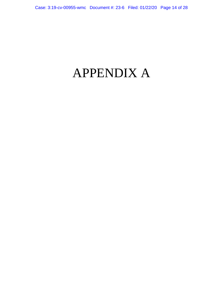# APPENDIX A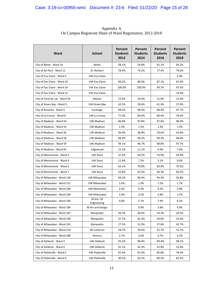| Ward                          | <b>School</b>            | Percent<br><b>Students</b><br>2012 | Percent<br><b>Students</b><br>2014 | Percent<br><b>Students</b><br>2016 | Percent<br><b>Students</b><br>2018 |
|-------------------------------|--------------------------|------------------------------------|------------------------------------|------------------------------------|------------------------------------|
| City of Beloit - Ward 16      | Beloit                   | 58.1%                              | 54.8%                              | 62.1%                              | 64.2%                              |
| City of De Pere - Ward 11     | St. Norbert              | 78.4%                              | 74.2%                              | 77.3%                              | 70.6%                              |
| City of Eau Claire - Ward 5   | UW Eau Claire            | $\overline{\phantom{a}}$           |                                    |                                    | 5.0%                               |
| City of Eau Claire - Ward 20  | UW Eau Claire            | 84.2%                              | 86.0%                              | 87.1%                              | 81.0%                              |
| City of Eau Claire - Ward 24  | UW Eau Claire            | 100.0%                             | 100.0%                             | 99.7%                              | 97.6%                              |
| City of Eau Claire - Ward 31  | UW Eau Claire            |                                    |                                    |                                    | 14.3%                              |
| City of Fond du Lac - Ward 19 | Marian                   | 23.0%                              | 20.4%                              | 21.0%                              | 13.4%                              |
| City of Green Bay - Ward 3    | UW Green Bay             | 62.5%                              | 59.6%                              | 61.4%                              | 57.0%                              |
| City of Kenosha - Ward 3      | Carthage                 | 98.5%                              | 98.5%                              | 98.9%                              | 97.7%                              |
| City of La Crosse - Ward 8    | UW La Crosse             | 77.3%                              | 80.6%                              | 80.4%                              | 76.6%                              |
| City of Madison - Ward 54     | UW Madison               | 96.8%                              | 97.8%                              | 97.6%                              | 96.0%                              |
| City of Madison - Ward 55     | UW Madison               | 1.4%                               | 1.5%                               | 1.4%                               | 1.5%                               |
| City of Madison - Ward 56     | UW Madison               | 36.9%                              | 38.8%                              | 39.6%                              | 42.8%                              |
| City of Madison - Ward 58     | UW Madison               | 98.4%                              | 99.3%                              | 99.3%                              | 98.0%                              |
| City of Madison - Ward 59     | UW Madison               | 94.1%                              | 96.7%                              | 98.8%                              | 97.7%                              |
| City of Madison - Ward 65     | Edgewood                 | 11.5%                              | 11.1%                              | 9.9%                               | 7.0%                               |
| City of Menomonie - Ward 3    | UW Stout                 | 41.9%                              | 50.5%                              | 53.9%                              | 43.9%                              |
| City of Menomonie - Ward 4    | <b>UW Stout</b>          | 11.4%                              | 7.3%                               | 3.1%                               | 9.6%                               |
| City of Menomonie - Ward 5    | <b>UW Stout</b>          | 64.1%                              | 70.8%                              | 69.9%                              | 70.5%                              |
| City of Menomonie - Ward 7    | UW Stout                 | 52.8%                              | 63.3%                              | 60.3%                              | 60.2%                              |
| City of Milwaukee - Ward 130  | UW Milwaukee             | 94.2%                              | 89.4%                              | 94.3%                              | 93.8%                              |
| City of Milwaukee - Ward 131  | UW Milwaukee             | 1.6%                               | 1.0%                               | 1.5%                               | 1.7%                               |
| City of Milwaukee - Ward 180  | UW Milwaukee             | 3.6%                               | 4.3%                               | 4.5%                               | 5.4%                               |
| City of Milwaukee - Ward 184  | UW Milwaukee             | 3.4%                               | 3.5%                               | 5.8%                               | 5.3%                               |
| City of Milwaukee - Ward 185  | M Sch. Of<br>Engineering | 4.8%                               | 5.7%                               | 7.9%                               | 6.2%                               |
| City of Milwaukee - Ward 186  | M Art and Design         |                                    | 0.9%                               | 3.8%                               | 4.9%                               |
| City of Milwaukee - Ward 187  | Marquette                | 36.3%                              | 36.6%                              | 24.2%                              | 20.5%                              |
| City of Milwaukee - Ward 190  | Marquette                | 37.7%                              | 42.3%                              | 30.6%                              | 23.6%                              |
| City of Milwaukee - Ward 191  | Marquette                | 27.3%                              | 31.9%                              | 27.6%                              | 45.7%                              |
| City of Milwaukee - Ward 210  | WI Lutheran              | 28.7%                              | 30.4%                              | 35.7%                              | 33.7%                              |
| City of Milwaukee - Ward 280  | Alverno                  | 2.7%                               | 3.0%                               | 3.7%                               | 3.2%                               |
| City of Oshkosh - Ward 3      | UW Oshkosh               | 93.2%                              | 98.4%                              | 99.4%                              | 98.1%                              |
| City of Oshkosh - Ward 4      | UW Oshkosh               | 41.1%                              | 42.5%                              | 32.8%                              | 32.8%                              |
| City of Platteville - Ward 5  | UW Platteville           | 81.4%                              | 81.9%                              | 85.8%                              | 78.9%                              |
| City of Platteville - Ward 6  | UW Platteville           | 90.5%                              | 82.3%                              | 89.3%                              | 85.5%                              |

Appendix A On Campus Registrant Share of Ward Registration, 2012-2018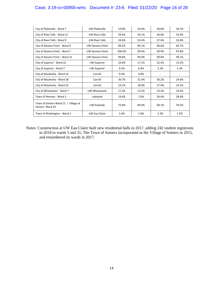# Case: 3:19-cv-00955-wmc Document #: 23-6 Filed: 01/22/20 Page 16 of 28

| City of Platteville - Ward 7                          | <b>UW Platteville</b>   | 19.0%  | 24.6% | 30.0% | 20.7% |
|-------------------------------------------------------|-------------------------|--------|-------|-------|-------|
| City of River Falls - Ward 12                         | <b>UW River Falls</b>   | 29.6%  | 29.1% | 40.0% | 33.0% |
| City of River Falls - Ward 9                          | <b>UW River Falls</b>   | 34.6%  | 53.4% | 57.4% | 50.8% |
| City of Stevens Point - Ward 4                        | <b>UW Stevens Point</b> | 89.5%  | 89.1% | 89.6% | 82.7% |
| City of Stevens Point - Ward 7                        | <b>UW Stevens Point</b> | 100.0% | 99.9% | 99.9% | 97.8% |
| City of Stevens Point - Ward 31                       | <b>UW Stevens Point</b> | 99.8%  | 99.9% | 99.9% | 99.1% |
| City of Superior - Ward 22                            | <b>UW Superior</b>      | 24.0%  | 17.1% | 22.5% | 13.2% |
| City of Superior - Ward 7                             | <b>UW Superior</b>      | 9.5%   | 6.9%  | 5.2%  | 1.3%  |
| City of Waukesha - Ward 14                            | Carroll                 | 0.9%   | 0.8%  |       |       |
| City of Waukesha - Ward 18                            | Carroll                 | 36.7%  | 31.4% | 36.2% | 24.6% |
| City of Waukesha - Ward 25                            | Carroll                 | 19.2%  | 18.9% | 27.9% | 23.5% |
| City of Whitewater - Ward 7                           | UW Whitewater           | 11.3%  | 13.2% | 13.5% | 14.4% |
| Town of Herman - Ward 3                               | Lakeland                | 14.6%  | 7.0%  | 34.4% | 38.4% |
| Town of Somers Ward 12 / Village of<br>Somers Ward 10 | <b>UW Parkside</b>      | 75.8%  | 69.4% | 69.1% | 70.5% |
| Town of Washington - Ward 2                           | UW Eau Claire           | 1.4%   | 1.8%  | 2.3%  | 1.5%  |

Notes: Construction at UW Eau Claire built new residential halls in 2017, adding 242 student registrants in 2018 in wards 5 and 31; The Town of Somers incorporated as the Village of Somers in 2015, and renumbered its wards in 2017.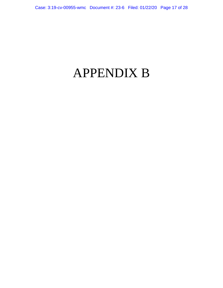# APPENDIX B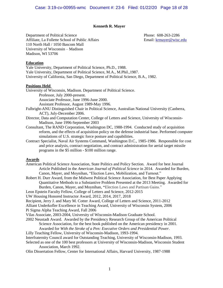# **Kenneth R. Mayer**

Department of Political Science Phone: 608-263-2286 Affiliate, La Follette School of Public Affairs **Email:** krmayer@wisc.edu 110 North Hall / 1050 Bascom Mall University of Wisconsin – Madison Madison, WI 53706

## **Education**

Yale University, Department of Political Science, Ph.D., 1988. Yale University, Department of Political Science, M.A., M.Phil.,1987. University of California, San Diego, Department of Political Science, B.A., 1982.

#### **Positions Held**

University of Wisconsin, Madison. Department of Political Science. Professor, July 2000-present. Associate Professor, June 1996-June 2000. Assistant Professor, August 1989-May 1996. Fulbright-ANU Distinguished Chair in Political Science, Australian National University (Canberra,

- ACT), July-December 2006.
- Director, Data and Computation Center, College of Letters and Science, University of Wisconsin-Madison, June 1996-September 2003
- Consultant, The RAND Corporation, Washington DC, 1988-1994. Conducted study of acquisition reform, and the effects of acquisition policy on the defense industrial base. Performed computer simulations of U.S. strategic force posture and capabilities.
- Contract Specialist, Naval Air Systems Command, Washington D.C., 1985-1986. Responsible for cost and price analysis, contract negotiation, and contract administration for aerial target missile programs in the \$5 million - \$100 million range.

# **Awards**

- American Political Science Association, State Politics and Policy Section. Award for best Journal Article Published in the *American Journal of Political Science* in 2014. Awarded for Burden, Canon, Mayer, and Moynihan, "Election Laws, Mobilization, and Turnout."
- Robert H. Durr Award, from the Midwest Political Science Association, for Best Paper Applying Quantitative Methods to a Substantive Problem Presented at the 2013 Meeting. Awarded for Burden, Canon, Mayer, and Moynihan, **"**Election Laws and Partisan Gains."
- Leon Epstein Faculty Fellow, College of Letters and Science, 2012-2015
- UW Housing Honored Instructor Award, 2012, 2014, 2017, 2018
- Recipient, Jerry J. and Mary M. Cotter Award, College of Letters and Science, 2011-2012

Alliant Underkofler Excellence in Teaching Award, University of Wisconsin System, 2006 Pi Sigma Alpha Teaching Award, Fall 2006

- Vilas Associate, 2003-2004, University of Wisconsin-Madison Graduate School.
- 2002 Neustadt Award. Awarded by the Presidency Research Group of the American Political Science Association, for the best book published on the American presidency in 2001.
	- Awarded for *With the Stroke of a Pen: Executive Orders and Presidential Power*.
- Lilly Teaching Fellow, University of Wisconsin-Madison, 1993-1994.
- Interfraternity Council award for Outstanding Teaching, University of Wisconsin-Madison, 1993.
- Selected as one of the 100 best professors at University of Wisconsin-Madison, Wisconsin Student Association, March 1992.
- Olin Dissertation Fellow, Center for International Affairs, Harvard University, 1987-1988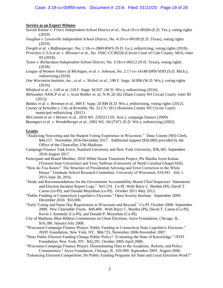# **Service as an Expert Witness**

- *Suresh Kumar v. Frisco Independent School District et al.*, No,4:19-cv-00284 (E.D. Tex.), voting rights (2019)
- *Vaughan v. Lewisville Independent School District*, No. 4:19-cv-00109 (E.D. Texas), voting rights (2019).
- *Dwight et al. v Raffensperger*, No: 1:18-cv-2869-RWS (N.D. Ga.), redistricting, voting rights (2018).
- *Priorities U.S.A.et al. v. Missouri et al.,* No. 19AC-CC00226 (Circuit Court of Cole County, MO), voter ID (2018).
- *Tyson v. Richardson Independent School District*, No. 3:18-cv-00212 (N.D. Texas), voting rights (2018).
- *League of Women Voters of Michigan, et al. v. Johnson*, No. 2:17-cv-14148-DPH-SDD (S.D. Mich.), redistricting (2018).
- *One Wisconsin Institute, Inc., et al. v. Nichol, et al*., 198 F. Supp. 3d 896 (W.D. Wis.), voting rights (2016).

*Whitford et al. v. Gill et* al, 218 F. Supp. 3d 837, (W.D. Wis.), redistricting (2016).

- *Milwaukee NAACP et al. v. Scott Walker et. al*, N.W.2d 262 (Dane County WI Circuit Court), voter ID (2012).
- *Baldus et al. v. Brennan et al.,* 849 F. Supp. 2d 840 (E.D. Wis.), redistricting, voting rights (2012).
- *County of Kenosha v. City of Kenosha,* No. 22-CV-1813 *(*Kenosha County WI Circuit Court) municipal redistricting (2011).

*McComish et al. v Brewer et al.*. 2010 WL 2292213 (D. Ariz.), campaign finance (2009).

*Baumgart et al. v. Wendelberger et al.*, 2002 WL 34127471 (E.D. Wis.), redistricting (2002).

#### **Grants**

- "Analyzing Nonvoting and the Student Voting Experience in Wisconsin." Dane County (WI) Clerk, \$44,157. November 2016-December 2017. Additional support (\$30,000) provided by the Office of the Chancellor, UW-Madison.
- Campaign Finance Task Force, Stanford University and New York University, \$36,585. September 2016-August 2017.
- Participant and Board Member, 2016 White House Transition Project, PIs Martha Joynt Kumar (Towson State University) and Terry Sullivan (University of North Carolina-Chapel Hill).
- "How do You Know? The Structure of Presidential Advising and Error Correction in the White House." Graduate School Research Committee, University of Wisconsin, \$18,941. July 1, 2015-June 30, 2016.
- "Study and Recommendations for the Government Accountability Board Chief Inspectors' Statements and Election Incident Report Logs." \$43,234. Co-PI. With Barry C. Burden (PI), David T. Canon (co-PI), and Donald Moynihan (co-PI). October 2011-May 2012.
- "Public Funding in Connecticut Legislative Elections." Open Society Institute. September 2009- December 2010. \$55,000.
- "Early Voting and Same Day Registration in Wisconsin and Beyond." Co-PI. October 2008- September 2009. Pew Charitable Trusts. \$49,400. With Barry C. Burden (PI), David T. Canon (Co-PI), Kevin J. Kennedy (Co-PI), and Donald P. Moynihan (Co-PI).
- City of Madison, Blue Ribbon Commission on Clean Elections. Joyce Foundation, Chicago, IL. \$16,188. January-July 2008.
- "Wisconsin Campaign Finance Project: Public Funding in Connecticut State Legislative Elections." JEHT Foundation, New York, NY. \$84,735. November 2006-November 2007.
- "Does Public Election Funding Change Public Policy? Evaluating the State of Knowledge." JEHT Foundation, New York, NY. \$42,291. October 2005-April 2006.
- "Wisconsin Campaign Finance Project: Disseminating Data to the Academic, Reform, and Policy Communities." Joyce Foundation, Chicago, IL. \$20,900. September 2005- August 2006.
- "Enhancing Electoral Competition: Do Public Funding Programs for State and Local Elections Work?"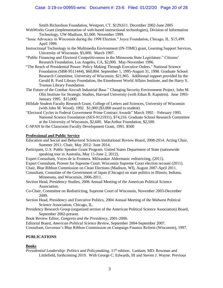# Case: 3:19-cv-00955-wmc Document #: 23-6 Filed: 01/22/20 Page 20 of 28

Smith Richardson Foundation, Westport, CT. \$129,611. December 2002-June 2005

- WebWorks Grant (implementation of web-based instructional technologies), Division of Information Technology, UW-Madison, \$1,000. November 1999.
- "Issue Advocacy in Wisconsin during the 1998 Election." Joyce Foundation, Chicago, IL. \$15,499. April 1999.
- Instructional Technology in the Multimedia Environment (IN-TIME) grant, Learning Support Services, University of Wisconsin. \$5,000. March 1997.
- "Public Financing and Electoral Competitiveness in the Minnesota State Legislature." Citizens' Research Foundation, Los Angeles, CA, \$2,000. May-November 1996.
- "The Reach of Presidential Power: Policy Making Through Executive Orders." National Science Foundation (SBR-9511444), \$60,004. September 1, 1995-August 31, 1998. Graduate School Research Committee, University of Wisconsin, \$21,965. Additional support provided by the Gerald R. Ford Library Foundation, the Eisenhower World Affairs Institute, and the Harry S. Truman Library Foundation.
- The Future of the Combat Aircraft Industrial Base." Changing Security Environment Project, John M. Olin Institute for Strategic Studies, Harvard University (with Ethan B. Kapstein). June 1993- January 1995. \$15,000.
- Hilldale Student Faculty Research Grant, College of Letters and Sciences, University of Wisconsin (with John M. Wood). 1992. \$1,000 (\$3,000 award to student)
- "Electoral Cycles in Federal Government Prime Contract Awards" March 1992 February 1995. National Science Foundation (SES-9121931), \$74,216. Graduate School Research Committee at the University of Wisconsin, \$2,600. MacArthur Foundation, \$2,500.
- C-SPAN In the Classroom Faculty Development Grant, 1991. \$500

#### **Professional and Public Service**

Education and Social and Behavioral Sciences Institutional Review Board, 2008-2014. Acting Chair, Summer 2011. Chair, May 2012- June 2014.

- Participant, U.S. Public Speaker Grant Program. United States Department of State (nationwide speaking tour in Australia, May 11-June 2, 2012).
- Expert Consultant, Voces de la Frontera. Milwaukee Aldermanic redistricting, (2011).
- Expert Consultant, Prosser for Supreme Court. Wisconsin Supreme Court election recount (2011).
- Chair, Blue Ribbon Commission on Clean Elections (Madison, WI), August 2007-April 2011.
- Consultant, Consulate of the Government of Japan (Chicago) on state politics in Illinois, Indiana, Minnesota, and Wisconsin, 2006-2011.
- Section Head, Presidency Studies, 2006 Annual Meeting of the American Political Science Association.
- Co-Chair, Committee on Redistricting, Supreme Court of Wisconsin, November 2003-December 2009.
- Section Head, Presidency and Executive Politics, 2004 Annual Meeting of the Midwest Political Science Association, Chicago, IL.
- Presidency Research Group (organized section of the American Political Science Association) Board, September 2002-present.
- Book Review Editor, *Congress and the Presidency*, 2001-2006.
- Editorial Board, *American Political Science Review*, September 2004-September 2007.

Consultant, Governor's Blue Ribbon Commission on Campaign Finance Reform (Wisconsin), 1997.

# **PUBLICATIONS**

#### **Books**

*Presidential Leadership: Politics and Policymaking*, 11<sup>th</sup> edition. Lanham, MD: Rowman and Littlefield, forthcoming 2019. With George C. Edwards, III and Steven J. Wayne. Previous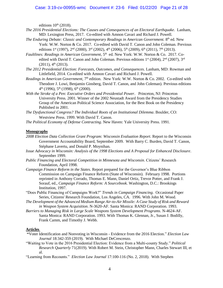## Case: 3:19-cv-00955-wmc Document #: 23-6 Filed: 01/22/20 Page 21 of 28

editions  $10<sup>th</sup>$  (2018).

- *The 2016 Presidential Elections: The Causes and Consequences of an Electoral Earthquake*. Lanham, MD: Lexington Press, 2017. Co-edited with Amnon Cavari and Richard J. Powell.
- The Enduring Debate: Classic and Contemporary Readings in American Government. 8<sup>th</sup> ed. New York: W.W. Norton & Co. 2017. Co-edited with David T. Canon and John Coleman. Previous editions 1<sup>st</sup> (1997), 2<sup>nd</sup> (2000), 3<sup>rd</sup> (2002), 4<sup>th</sup> (2006), 5<sup>th</sup> (2009), 6<sup>th</sup> (2011), 7<sup>th</sup> (2013).
- *Faultlines: Readings in American Government*, 5 th ed. New York: W.W. Norton & Co. 2017. Coedited with David T. Canon and John Coleman. Previous editions 1<sup>st</sup> (2004), 2<sup>nd</sup> (2007), 3<sup>rd</sup>  $(2011), 4<sup>th</sup> (2013).$
- *The 2012 Presidential Election: Forecasts, Outcomes, and Consequences*. Lanham, MD: Rowman and Littlefield, 2014. Co-edited with Amnon Cavari and Richard J. Powell.
- Readings in American Government, 7<sup>th</sup> edition. New York: W.W. Norton & Co. 2002. Co-edited with Theodore J. Lowi, Benjamin Ginsberg, David T. Canon, and John Coleman). Previous editions  $4<sup>th</sup>$  (1996),  $5<sup>th</sup>$  (1998),  $6<sup>th</sup>$  (2000).
- *With the Stroke of a Pen: Executive Orders and Presidential Power*. Princeton, NJ: Princeton University Press. 2001. Winner of the 2002 Neustadt Award from the Presidency Studies Group of the American Political Science Association, for the Best Book on the Presidency Published in 2001.
- *The Dysfunctional Congress? The Individual Roots of an Institutional Dilemma*. Boulder, CO: Westview Press. 1999. With David T. Canon.
- *The Political Economy of Defense Contracting*. New Haven: Yale University Press. 1991.

#### **Monographs**

- *2008 Election Data Collection Grant Program: Wisconsin Evaluation Report*. Report to the Wisconsin Government Accountability Board, September 2009. With Barry C. Burden, David T. Canon, Stéphane Lavertu, and Donald P. Moynihan.
- *Issue Advocacy in Wisconsin: Analysis of the 1998 Elections and A Proposal for Enhanced Disclosure*. September 1999.
- *Public Financing and Electoral Competition in Minnesota and Wisconsin*. Citizens' Research Foundation, April 1998.
- *Campaign Finance Reform in the States*. Report prepared for the Governor's Blue Ribbon Commission on Campaign Finance Reform (State of Wisconsin). February 1998. Portions reprinted in Anthony Corrado, Thomas E. Mann, Daniel Ortiz, Trevor Potter, and Frank J. Sorauf, ed., *Campaign Finance Reform: A Sourcebook.* Washington, D.C.: Brookings Institution, 1997.
- "Does Public Financing of Campaigns Work?" *Trends in Campaign Financing*. Occasional Paper Series, Citizens' Research Foundation, Los Angeles, CA. 1996. With John M. Wood.
- *The Development of the Advanced Medium Range Air-to-Air Missile: A Case Study of Risk and Reward in Weapon System Acquisition*. N-3620-AF. Santa Monica: RAND Corporation. 1993.
- *Barriers to Managing Risk in Large Scale Weapons System Development Programs*. N-4624-AF. Santa Monica: RAND Corporation. 1993. With Thomas K. Glennan, Jr., Susan J. Bodilly, Frank Camm, and Timothy J. Webb.

# **Articles**

- **"**Voter Identification and Nonvoting in Wisconsin Evidence from the 2016 Election." *Election Law Journal* 18:342-359 (2019). With Michael DeCrescenzo.
- "Waiting to Vote in the 2016 Presidential Election: Evidence from a Multi-county Study." *Political Research Quarterly* 71(2019). With Robert M. Stein, Christopher Mann, Charles Stewart III, et al.
- "Learning from Recounts." *Election Law Journal* 17:100-116 (No. 2, 2018). With Stephen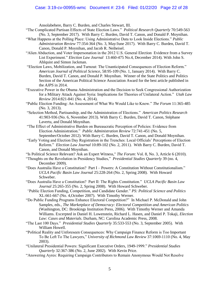Ansolabehere, Barry C. Burden, and Charles Stewart, III.

- "The Complicated Partisan Effects of State Election Laws." *Political Research Quarterly* 70:549-563 (No. 3, September 2017). With Barry C. Burden, David T. Canon, and Donald P. Moynihan.
- "What Happens at the Polling Place: Using Administrative Data to Look Inside Elections." *Public Administration Review* 77:354-364 (No. 3, May/June 2017). With Barry C. Burden, David T. Canon, Donald P. Moynihan, and Jacob R. Neiheisel.
- "Alien Abduction, and Voter Impersonation in the 2012 U.S. General Election Evidence from a Survey List Experiment." *Election Law Journal* 13:460-475 No.4, December 2014). With John S. Ahlquist and Simon Jackman.
- "Election Laws, Mobilization, and Turnout: The Unanticipated Consequences of Election Reform." *American Journal of Political Science*, 58:95-109 (No. 1, January 2014). With Barry C. Burden, David T. Canon, and Donald P. Moynihan. Winner of the State Politics and Politics Section of the American Political Science Association Award for the best article published in the *AJPS* in 2014.
- "Executive Power in the Obama Administration and the Decision to Seek Congressional Authorization for a Military Attack Against Syria: Implications for Theories of Unilateral Action." *Utah Law Review* 2014:821-841 (No. 4, 2014).
- "Public Election Funding: An Assessment of What We Would Like to Know." *The Forum* 11:365-485 (No. 3, 2013).
- "Selection Method, Partisanship, and the Administration of Elections." *American Politics Research*  41:903-936 (No. 6, November 2013). With Barry C. Burden, David T. Canon, Stéphane Lavertu, and Donald Moynihan.
- "The Effect of Administrative Burden on Bureaucratic Perception of Policies: Evidence from Election Administration." *Public Administration Review* 72:741-451 (No. 5, September/October 2012). With Barry C. Burden, David T. Canon, and Donald Moynihan.
- "Early Voting and Election Day Registration in the Trenches: Local Officials' Perceptions of Election Reform." *Election Law Journal* 10:89-102 (No. 2, 2011). With Barry C. Burden, David T. Canon, and Donald Moynihan.
- "Is Political Science Relevant? Ask an Expert Witness," *The Forum*: Vol. 8, No. 3, Article 6 (2010).
- "Thoughts on the Revolution in Presidency Studies," *Presidential Studies Quarterly* 39 (no. 4, December 2009).
- "Does Australia Have a Constitution? Part I Powers: A Constitution Without Constitutionalism." *UCLA Pacific Basin Law Journal* 25:228-264 (No. 2, Spring 2008). With Howard Schweber.
- "Does Australia Have a Constitution? Part II: The Rights Constitution." *UCLA Pacific Basin Law Journal* 25:265-355 (No. 2, Spring 2008). With Howard Schweber.
- *"*Public Election Funding, Competition, and Candidate Gender." *PS: Political Science and Politics*  XL:661-667 (No. 4,October 2007). With Timothy Werner.
- "Do Public Funding Programs Enhance Electoral Competition?" In Michael P. McDonald and John Samples, eds., *The Marketplace of Democracy: Electoral Competition and American Politics*  (Washington, DC: Brookings Institution Press, 2006). With Timothy Werner and Amanda Williams. Excerpted in Daniel H. Lowenstein, Richard L. Hasen, and Daniel P. Tokaji, *Election Law: Cases and Materials.* Durham, NC: Carolina Academic Press, 2008.
- "The Last 100 Days." *Presidential Studies Quarterly* 35:533-553 (No. 3, September 2005). With William Howell.
- "Political Reality and Unforeseen Consequences: Why Campaign Finance Reform is Too Important To Be Left To The Lawyers," *University of Richmond Law Review* 37:1069-1110 (No. 4, May 2003).
- "Unilateral Presidential Powers: Significant Executive Orders, 1949-1999." *Presidential Studies Quarterly* 32:367-386 (No. 2, June 2002). With Kevin Price.
- "Answering Ayres: Requiring Campaign Contributors to Remain Anonymous Would Not Resolve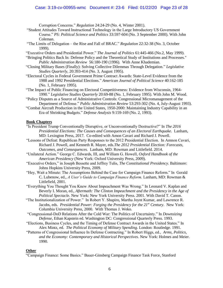# Case: 3:19-cv-00955-wmc Document #: 23-6 Filed: 01/22/20 Page 23 of 28

Corruption Concerns." *Regulation* 24:24-29 (No. 4, Winter 2001).

- "Student Attitudes Toward Instructional Technology in the Large Introductory US Government Course." *PS: Political Science and Politics* 33:597-604 (No. 3 September 2000). With John Coleman.
- "The Limits of Delegation the Rise and Fall of BRAC." *Regulation* 22:32-38 (No. 3, October 1999).
- "Executive Orders and Presidential Power." *The Journal of Politics* 61:445-466 (No.2, May 1999).
- "Bringing Politics Back In: Defense Policy and the Theoretical Study of Institutions and Processes." *Public Administration Review* 56:180-190 (1996). With Anne Khademian.
- "Closing Military Bases (Finally): Solving Collective Dilemmas Through Delegation." *Legislative Studies Quarterly*, 20:393-414 (No. 3, August 1995).
- "Electoral Cycles in Federal Government Prime Contract Awards: State-Level Evidence from the 1988 and 1992 Presidential Elections." *American Journal of Political Science* 40:162-185 (No. 1, February 1995).
- "The Impact of Public Financing on Electoral Competitiveness: Evidence from Wisconsin, 1964- 1990." *Legislative Studies Quarterly* 20:69-88 (No. 1, February 1995). With John M. Wood.
- "Policy Disputes as a Source of Administrative Controls: Congressional Micromanagement of the Department of Defense." *Public Administration Review* 53:293-302 (No. 4, July-August 1993).
- "Combat Aircraft Production in the United States, 1950-2000: Maintaining Industry Capability in an Era of Shrinking Budgets." *Defense Analysis* 9:159-169 (No. 2, 1993).

# **Book Chapters**

- "Is President Trump Conventionally Disruptive, or Unconventionally Destructive?" In *The 2016 Presidential Elections: The Causes and Consequences of an Electoral Earthquake*. Lanham, MD: Lexington Press, 2017. Co-edited with Amon Cavari and Richard J. Powell.
- "Lessons of Defeat: Republican Party Responses to the 2012 Presidential Election. In Amnon Cavari, Richard J. Powell, and Kenneth R. Mayer, eds.*The 2012 Presidential Election: Forecasts, Outcomes, and Consequences*. Lanham, MD: Rowman and Littlefield. 2014.
- "Unilateral Action." George C. Edwards, III, and William G. Howell, *Oxford Handbook of the American Presidency* (New York: Oxford University Press, 2009).
- "Executive Orders," in Joseph Bessette and Jeffrey Tulis, *The Constitutional Presidency*. Baltimore: Johns Hopkins University Press, 2009.
- "Hey, Wait a Minute: The Assumptions Behind the Case for Campaign Finance Reform." In Gerald C. Lubenow, ed., *A User's Guide to Campaign Finance Reform.* Lanham, MD: Rowman & Littlefield, 2001.
- "Everything You Thought You Knew About Impeachment Was Wrong." In Leonard V. Kaplan and Beverly I. Moran, ed., *Aftermath: The Clinton Impeachment and the Presidency in the Age of Political Spectacle.* New York: New York University Press. 2001. With David T. Canon.
- "The Institutionalization of Power." In Robert Y. Shapiro, Martha Joynt Kumar, and Lawrence R. Jacobs, eds. *Presidential Power: Forging the Presidency for the 21st Century*. New York: Columbia University Press, 2000. With Thomas J. Weko.
- "Congressional-DoD Relations After the Cold War: The Politics of Uncertainty." In *Downsizing Defense*, Ethan Kapstein ed. Washington DC: Congressional Quarterly Press. 1993.
- "Elections, Business Cycles, and the Timing of Defense Contract Awards in the United States." In Alex Mintz, ed. *The Political Economy of Military Spending*. London: Routledge. 1991.
- "Patterns of Congressional Influence In Defense Contracting." In Robert Higgs, ed., *Arms, Politics, and the Economy: Contemporary and Historical Perspectives*. New York: Holmes and Meier. 1990.

#### **Other**

"Campaign Finance: Some Basics." Bauer-Ginsberg Campaign Finance Task Force, Stanford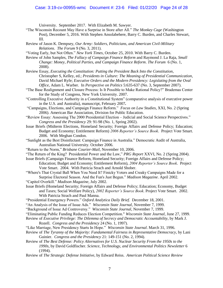# Case: 3:19-cv-00955-wmc Document #: 23-6 Filed: 01/22/20 Page 24 of 28

University. September 2017. With Elizabeth M. Sawyer.

- "The Wisconsin Recount May Have a Surprise in Store after All." *The Monkey Cage* (Washington Post), December 5, 2016. With Stephen Ansolabehere, Barry C. Burden, and Charles Stewart, III.
- Review of Jason K. Dempsey, *Our Army: Soldiers, Politicians, and American Civil-Military Relations*. *The Forum* 9 (No. 3, 2011).
- "Voting Early, but Not Often." *New York Times*, October 25, 2010. With Barry C. Burden.
- Review of John Samples, *The Fallacy of Campaign Finance Reform* and Raymond J. La Raja, *Small Change: Money, Political Parties, and Campaign Finance Reform*. *The Forum* 6 (No. 1, 2008).
- Review Essay, *Executing the Constitution: Putting the President Back Into the Constitution*, Christopher S, Kelley, ed.; *Presidents in Culture: The Meaning of Presidential Communication*, David Michael Ryfe; *Executive Orders and the Modern Presidency: Legislating from the Oval Office*, Adam L. Warber. In *Perspective on Politics* 5:635-637 (No. 3, September 2007).
- "The Base Realignment and Closure Process: Is It Possible to Make Rational Policy?" Brademas Center for the Study of Congress, New York University. 2007.
- "Controlling Executive Authority in a Constitutional System" (comparative analysis of executive power in the U.S. and Australia), manuscript, February 2007*.*
- "Campaigns, Elections, and Campaign Finance Reform." *Focus on Law Studies*, XXI, No. 2 (Spring 2006). American Bar Association, Division for Public Education.
- "Review Essay: Assessing The 2000 Presidential Election Judicial and Social Science Perspectives." *Congress and the Presidency* 29: 91-98 (No. 1, Spring 2002).
- Issue Briefs (Midterm Elections, Homeland Security; Foreign Affairs and Defense Policy; Education; Budget and Economy; Entitlement Reform) *2006 Reporter's Source Book*. Project Vote Smart. 2006. With Meghan Condon.
- "Sunlight as the Best Disinfectant: Campaign Finance in Australia." Democratic Audit of Australia, Australian National University. October 2006.
- "Return to the Norm," *Brisbane Courier-Mail*, November 10, 2006.
- "The Return of the King? Presidential Power and the Law," *PRG Report* XXVI, No. 2 (Spring 2004).
- Issue Briefs (Campaign Finance Reform, Homeland Security; Foreign Affairs and Defense Policy; Education; Budget and Economy; Entitlement Reform), *2004 Reporter's Source Book*. Project Vote Smart. 2004. With Patricia Strach and Arnold Shober.
- "Where's That Crystal Ball When You Need It? Finicky Voters and Creaky Campaigns Made for a Surprise Electoral Season. And the Fun's Just Begun." *Madison Magazine*. April 2002.
- "Capitol Overkill." *Madison Magazine*, July 2002.
- Issue Briefs (Homeland Security; Foreign Affairs and Defense Policy; Education; Economy, Budget and Taxes; Social Welfare Policy), *2002 Reporter's Source Book*. Project Vote Smart. 2002. With Patricia Strach and Paul Manna.
- "Presidential Emergency Powers." *Oxford Analytica Daily Brief*. December 18, 2001.
- "An Analysis of the Issue of Issue Ads." *Wisconsin State Journal*, November 7, 1999.
- "Background of Issue Ad Controversy." *Wisconsin State Journal*, November 7, 1999.
- "Eliminating Public Funding Reduces Election Competition." *Wisconsin State Journal*, June 27, 1999.
- Review of *Executive Privilege: The Dilemma of Secrecy and Democratic Accountability*, by Mark J. Rozell. *Congress and the Presidency* 24 (No. 1, 1997).
- "Like Marriage, New Presidency Starts In Hope." *Wisconsin State Journal*. March 31, 1996.
- Review of *The Tyranny of the Majority: Fundamental Fairness in Representative Democracy*, by Lani Guinier. *Congress and the Presidency* 21: 149-151 (No. 2, 1994).
- Review of *The Best Defense: Policy Alternatives for U.S. Nuclear Security From the 1950s to the 1990s*, by David Goldfischer. *Science, Technology, and Environmental Politics Newsletter* 6 (1994).
- Review of *The Strategic Defense Initiative*, by Edward Reiss. *American Political Science Review*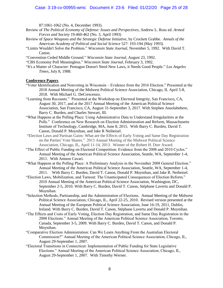# Case: 3:19-cv-00955-wmc Document #: 23-6 Filed: 01/22/20 Page 25 of 28

87:1061-1062 (No. 4, December 1993).

- Review of *The Political Economy of Defense: Issues and Perspectives*, Andrew L. Ross ed. *Armed Forces and Society* 19:460-462 (No. 3, April 1993)
- Review of *Space Weapons and the Strategic Defense Initiative*, by Crockett Grabbe. *Annals of the American Academy of Political and Social Science* 527: 193-194 (May 1993).
- "Limits Wouldn't Solve the Problem." *Wisconsin State Journal*, November 5, 1992. With David T. Canon.
- "Convention Ceded Middle Ground." *Wisconsin State Journal*, August 23, 1992.
- "CBS Economy Poll Meaningless." *Wisconsin State Journal*, February 3, 1992.
- "It's a Matter of Character: Pentagon Doesn't Need New Laws, it Needs Good People." *Los Angeles Times*, July 8, 1988.

#### **Conference Papers**

- "Voter Identification and Nonvoting in Wisconsin Evidence from the 2016 Election." Presented at the 2018 Annual Meeting of the Midwest Political Science Association, Chicago, IL April 5-8, 2018. With Michael G. DeCrescenzo.
- "Learning from Recounts." Presented at the Workshop on Electoral Integrity, San Francisco, CA, August 30, 2017, and at the 2017 Annual Meeting of the American Political Science Association, San Francisco, CA, August 31-September 3, 2017. With Stephen Ansolabehere, Barry C. Burden, and Charles Stewart, III.
- "What Happens at the Polling Place: Using Administrative Data to Understand Irregularities at the Polls." Conference on New Research on Election Administration and Reform, Massachusetts Institute of Technology, Cambridge, MA, June 8, 2015. With Barry C. Burden, David T. Canon, Donald P. Moynihan, and Jake R Neiheisel.
- "Election Laws and Partisan Gains: What are the Effects of Early Voting and Same Day Registration on the Parties' Vote Shares." 2013 Annual Meeting of the Midwest Political Science Association, Chicago, IL, April 11-14, 2013. Winner of the Robert H. Durr Award.
- "The Effect of Public Funding on Electoral Competition: Evidence from the 2008 and 2010 Cycles." Annual Meeting of the American Political Science Association, Seattle, WA, September 1-4, 2011. With Amnon Cavari.
- "What Happens at the Polling Place: A Preliminary Analysis in the November 2008 General Election." Annual Meeting of the American Political Science Association, Seattle, WA, September 1-4, 2011. With Barry C. Burden, David T. Canon, Donald P. Moynihan, and Jake R. Neiheisel.
- "Election Laws, Mobilization, and Turnout: The Unanticipated Consequences of Election Reform." 2010 Annual Meeting of the American Political Science Association, Washington, DC, September 2-5, 2010. With Barry C. Burden, David T. Canon, Stéphane Lavertu and Donald P. Moynihan.
- "Selection Methods, Partisanship, and the Administration of Elections. Annual Meeting of the Midwest Political Science Association, Chicago, IL, April 22-25, 2010. Revised version presented at the Annual Meeting of the European Political Science Association, June 16-19, 2011, Dublin, Ireland. With Barry C. Burden, David T. Canon, Stéphane Lavertu and Donald P. Moynihan.
- "The Effects and Costs of Early Voting, Election Day Registration, and Same Day Registration in the 2008 Elections." Annual Meeting of the American Political Science Association, Toronto, Canada, September 3-5, 2009. With Barry C. Burden, David T. Canon, and Donald P. Moynihan.
- "Comparative Election Administration: Can We Learn Anything From the Australian Electoral Commission?" Annual Meeting of the American Political Science Association, Chicago, IL, August 29-September 1, 2007.
- "Electoral Transitions in Connecticut: Implementation of Public Funding for State Legislative Elections." Annual Meeting of the American Political Science Association, Chicago, IL, August 29-September 1, 2007. With Timothy Werner.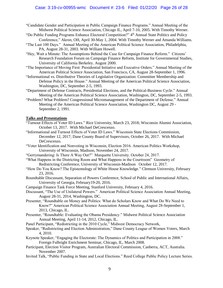- "Candidate Gender and Participation in Public Campaign Finance Programs." Annual Meeting of the Midwest Political Science Association, Chicago IL, April 7-10, 2005. With Timothy Werner.
- "Do Public Funding Programs Enhance Electoral Competition?" 4<sup>th</sup> Annual State Politics and Policy Conference," Akron, OH, April 30-May 1, 2004. With Timothy Werner and Amanda Williams.
- "The Last 100 Days." Annual Meeting of the American Political Science Association, Philadelphia, PA, August 28-31, 2003. With William Howell.
- "Hey, Wait a Minute: The Assumptions Behind the Case for Campaign Finance Reform." Citizens' Research Foundation Forum on Campaign Finance Reform, Institute for Governmental Studies, University of California Berkeley. August 2000.
- "The Importance of Moving First: Presidential Initiative and Executive Orders." Annual Meeting of the American Political Science Association, San Francisco, CA, August 28-September 1, 1996.
- "Informational vs. Distributive Theories of Legislative Organization: Committee Membership and Defense Policy in the House." Annual Meeting of the American Political Science Association, Washington, DC, September 2-5, 1993.
- "Department of Defense Contracts, Presidential Elections, and the Political-Business Cycle." Annual Meeting of the American Political Science Association, Washington, DC, September 2-5, 1993.
- "Problem? What Problem? Congressional Micromanagement of the Department of Defense." Annual Meeting of the American Political Science Association, Washington DC, August 29 - September 2, 1991.

# **Talks and Presentations**

- "Turnout Effects of Voter ID Laws." Rice University, March 23, 2018; Wisconsin Alumni Association, October 13, 2017. With Michael DeCrescenzo.
- "Informational and Turnout Effects of Voter ID Laws." Wisconsin State Elections Commission, December 12, 2017; Dane County Board of Supervisors, October 26, 2017. With Michael DeCrescenzo.
- "Voter Identification and Nonvoting in Wisconsin, Election 2016. American Politics Workshop, University of Wisconsin, Madison, November 24, 2017.
- "Gerrymandering: Is There A Way Out?" Marquette University. October 24, 2017.
- "What Happens in the Districting Room and What Happens in the Courtroom" Geometry of Redistricting Conference, University of Wisconsin-Madison October 12, 2017.
- "How Do You Know? The Epistemology of White House Knowledge." Clemson University, February 23, 2016.
- Roundtable Discussant, Separation of Powers Conference, School of Public and International Affairs, University of Georgia, February19-20, 2016.
- Campaign Finance Task Force Meeting, Stanford University, February 4, 2016.
- Discussant, "The Use of Unilateral Powers." American Political Science Association Annual Meeting, August 28-31, 2014, Washington, DC.
- Presenter, "Roundtable on Money and Politics: What do Scholars Know and What Do We Need to Know?" American Political Science Association Annual Meeting, August 28-September 1, 2013, Chicago, IL.
- Presenter, "Roundtable: Evaluating the Obama Presidency." Midwest Political Science Association Annual Meeting, April 11-14, 2012, Chicago, IL.
- Panel Participant, "Redistricting in the 2010 Cycle," Midwest Democracy Network,
- Speaker, "Redistricting and Election Administration," Dane County League of Women Voters, March 4, 2010.
- Keynote Speaker, "Engaging the Electorate: The Dynamics of Politics and Participation in 2008." Foreign Fulbright Enrichment Seminar, Chicago, IL, March 2008.
- Participant, Election Visitor Program, Australian Electoral Commission, Canberra, ACT, Australia. November 2007.
- Invited Talk, "Public Funding in State and Local Elections." Reed College Public Policy Lecture Series.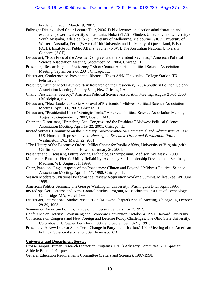# Case: 3:19-cv-00955-wmc Document #: 23-6 Filed: 01/22/20 Page 27 of 28

Portland, Oregon, March 19, 2007.

- Fulbright Distinguished Chair Lecture Tour, 2006. Public lectures on election administration and executive power. University of Tasmania, Hobart (TAS); Flinders University and University of South Australia, Adelaide (SA); University of Melbourne, Melbourne (VIC); University of Western Australia, Perth (WA); Griffith University and University of Queensland, Brisbane (QLD); Institute for Public Affairs, Sydney (NSW); The Australian National University, Canberra (ACT).
- Discussant, "Both Ends of the Avenue: Congress and the President Revisited," American Political Science Association Meeting, September 2-5, 2004, Chicago, IL.
- Presenter, "Researching the Presidency," Short Course, American Political Science Association Meeting, September 2-5, 2004, Chicago, IL.
- Discussant, Conference on Presidential Rhetoric, Texas A&M University, College Station, TX. February 2004.
- Presenter, "Author Meets Author: New Research on the Presidency," 2004 Southern Political Science Association Meeting, January 8-11, New Orleans, LA.
- Chair, "Presidential Secrecy," American Political Science Association Meeting, August 28-31,2003, Philadelphia, PA.
- Discussant, "New Looks at Public Approval of Presidents." Midwest Political Science Association Meeting, April 3-6, 2003, Chicago, IL.
- Discussant, "Presidential Use of Strategic Tools." American Political Science Association Meeting, August 28-September 1, 2002, Boston, MA.
- Chair and Discussant, "Branching Out: Congress and the President." Midwest Political Science Association Meeting, April 19-22, 2001, Chicago, IL.
- Invited witness, Committee on the Judiciary, Subcommittee on Commercial and Administrative Law, U.S. House of Representatives. *Hearing on Executive Order and Presidential Power*, Washington, DC. March 22, 2001.
- "The History of the Executive Order," Miller Center for Public Affairs, University of Virginia (with Griffin Bell and William Howell), January 26, 2001.
- Presenter and Discussant, Future Voting Technologies Symposium, Madison, WI May 2, 2000.
- Moderator, Panel on Electric Utility Reliability. Assembly Staff Leadership Development Seminar, Madison, WI. August 11, 1999.
- Chair, Panel on "Legal Aspects of the Presidency: Clinton and Beyond." Midwest Political Science Association Meeting, April 15-17, 1999, Chicago, IL.
- Session Moderator, National Performance Review Acquisition Working Summit, Milwaukee, WI. June 1995.
- American Politics Seminar, The George Washington University, Washington D.C., April 1995.
- Invited speaker, Defense and Arms Control Studies Program, Massachusetts Institute of Technology, Cambridge, MA, March 1994.
- Discussant, International Studies Association (Midwest Chapter) Annual Meeting, Chicago IL, October 29-30, 1993.
- Seminar on American Politics, Princeton University, January 16-17,1992.
- Conference on Defense Downsizing and Economic Conversion, October 4, 1991, Harvard University.
- Conference on Congress and New Foreign and Defense Policy Challenges, The Ohio State University, Columbus OH, September 21-22, 1990, and September 19-21, 1991.
- Presenter, "A New Look at Short Term Change in Party Identification," 1990 Meeting of the American Political Science Association, San Francisco, CA.

# **University and Department Service**

Cross-Campus Human Research Protection Program (HRPP) Advisory Committee, 2019-present. Athletic Board, 2014-present.

General Education Requirements Committee (Letters and Science), 1997-1998.